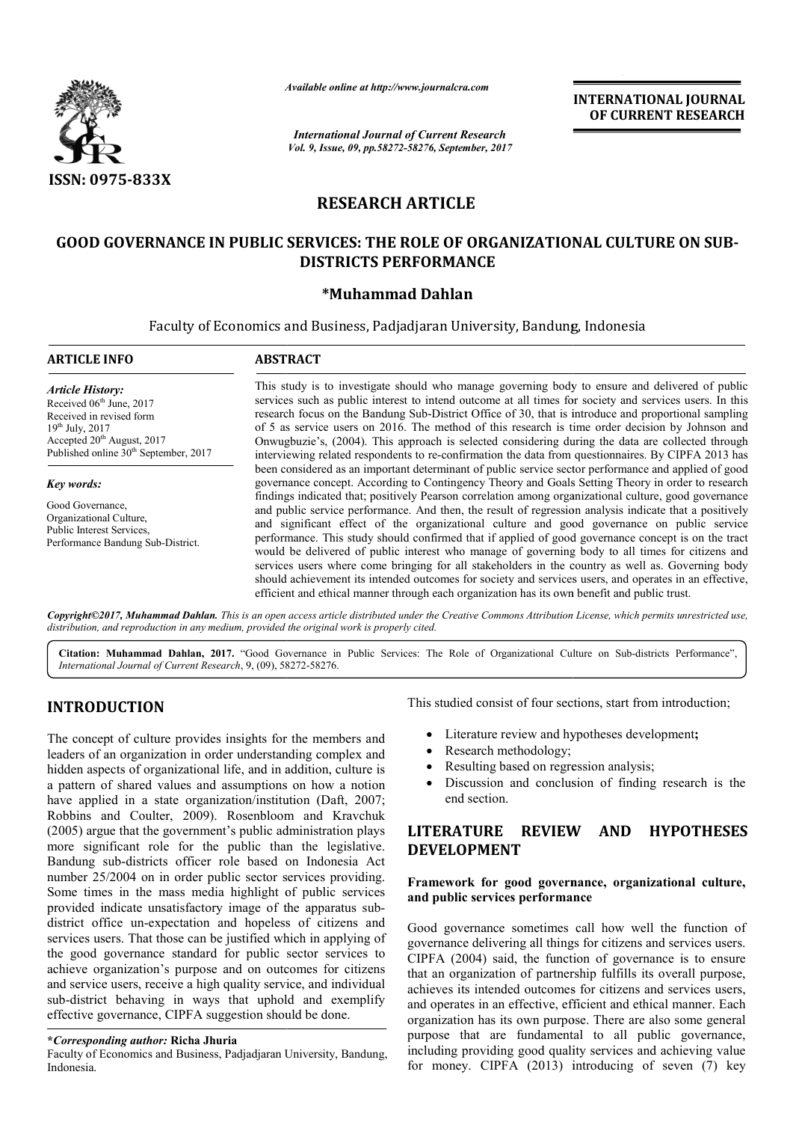

*Available online at http://www.journal http://www.journalcra.com*

# **RESEARCH ARTICLE**

# GOOD GOVERNANCE IN PUBLIC SERVICES: THE ROLE OF ORGANIZATIONAL CULTURE ON SUB-**DISTRICTS PERFORMANCE**

## **\*Muhammad Dahlan**

|                                                                                                                                                                                                                                                                                                                                                                                                                                                                                                                                                                                                                                                                                                                                                                                                                                                    | лүшише опине иг пир.//www.journatera.com | <b>INTERNATIONAL JOURNAL</b><br>OF CURRENT RESEARCH<br><b>International Journal of Current Research</b>                                                                                                                                                                                                                                                                                                                                                                                                                                                                                                                                                                                                                                                                                                                                 |  |
|----------------------------------------------------------------------------------------------------------------------------------------------------------------------------------------------------------------------------------------------------------------------------------------------------------------------------------------------------------------------------------------------------------------------------------------------------------------------------------------------------------------------------------------------------------------------------------------------------------------------------------------------------------------------------------------------------------------------------------------------------------------------------------------------------------------------------------------------------|------------------------------------------|-----------------------------------------------------------------------------------------------------------------------------------------------------------------------------------------------------------------------------------------------------------------------------------------------------------------------------------------------------------------------------------------------------------------------------------------------------------------------------------------------------------------------------------------------------------------------------------------------------------------------------------------------------------------------------------------------------------------------------------------------------------------------------------------------------------------------------------------|--|
|                                                                                                                                                                                                                                                                                                                                                                                                                                                                                                                                                                                                                                                                                                                                                                                                                                                    |                                          | Vol. 9, Issue, 09, pp.58272-58276, September, 2017                                                                                                                                                                                                                                                                                                                                                                                                                                                                                                                                                                                                                                                                                                                                                                                      |  |
| <b>ISSN: 0975-833X</b>                                                                                                                                                                                                                                                                                                                                                                                                                                                                                                                                                                                                                                                                                                                                                                                                                             |                                          |                                                                                                                                                                                                                                                                                                                                                                                                                                                                                                                                                                                                                                                                                                                                                                                                                                         |  |
|                                                                                                                                                                                                                                                                                                                                                                                                                                                                                                                                                                                                                                                                                                                                                                                                                                                    |                                          | <b>RESEARCH ARTICLE</b>                                                                                                                                                                                                                                                                                                                                                                                                                                                                                                                                                                                                                                                                                                                                                                                                                 |  |
|                                                                                                                                                                                                                                                                                                                                                                                                                                                                                                                                                                                                                                                                                                                                                                                                                                                    |                                          | <b>GOOD GOVERNANCE IN PUBLIC SERVICES: THE ROLE OF ORGANIZATIONAL CULTURE ON SUB-</b><br><b>DISTRICTS PERFORMANCE</b>                                                                                                                                                                                                                                                                                                                                                                                                                                                                                                                                                                                                                                                                                                                   |  |
|                                                                                                                                                                                                                                                                                                                                                                                                                                                                                                                                                                                                                                                                                                                                                                                                                                                    |                                          | *Muhammad Dahlan                                                                                                                                                                                                                                                                                                                                                                                                                                                                                                                                                                                                                                                                                                                                                                                                                        |  |
|                                                                                                                                                                                                                                                                                                                                                                                                                                                                                                                                                                                                                                                                                                                                                                                                                                                    |                                          | Faculty of Economics and Business, Padjadjaran University, Bandung, Indonesia                                                                                                                                                                                                                                                                                                                                                                                                                                                                                                                                                                                                                                                                                                                                                           |  |
| <b>ARTICLE INFO</b>                                                                                                                                                                                                                                                                                                                                                                                                                                                                                                                                                                                                                                                                                                                                                                                                                                | <b>ABSTRACT</b>                          |                                                                                                                                                                                                                                                                                                                                                                                                                                                                                                                                                                                                                                                                                                                                                                                                                                         |  |
| <b>Article History:</b><br>Received 06 <sup>th</sup> June, 2017<br>Received in revised form<br>19th July, 2017<br>Accepted 20 <sup>th</sup> August, 2017<br>Published online 30 <sup>th</sup> September, 2017                                                                                                                                                                                                                                                                                                                                                                                                                                                                                                                                                                                                                                      |                                          | This study is to investigate should who manage governing body to ensure and delivered of public<br>services such as public interest to intend outcome at all times for society and services users. In this<br>research focus on the Bandung Sub-District Office of 30, that is introduce and proportional sampling<br>of 5 as service users on 2016. The method of this research is time order decision by Johnson and<br>Onwugbuzie's, (2004). This approach is selected considering during the data are collected through<br>interviewing related respondents to re-confirmation the data from questionnaires. By CIPFA 2013 has                                                                                                                                                                                                      |  |
| Key words:                                                                                                                                                                                                                                                                                                                                                                                                                                                                                                                                                                                                                                                                                                                                                                                                                                         |                                          | been considered as an important determinant of public service sector performance and applied of good<br>governance concept. According to Contingency Theory and Goals Setting Theory in order to research                                                                                                                                                                                                                                                                                                                                                                                                                                                                                                                                                                                                                               |  |
| Good Governance,<br>Organizational Culture,<br>Public Interest Services,<br>Performance Bandung Sub-District.                                                                                                                                                                                                                                                                                                                                                                                                                                                                                                                                                                                                                                                                                                                                      |                                          | findings indicated that; positively Pearson correlation among organizational culture, good governance<br>and public service performance. And then, the result of regression analysis indicate that a positively<br>and significant effect of the organizational culture and good governance on public service<br>performance. This study should confirmed that if applied of good governance concept is on the tract<br>would be delivered of public interest who manage of governing body to all times for citizens and<br>services users where come bringing for all stakeholders in the country as well as. Governing body<br>should achievement its intended outcomes for society and services users, and operates in an effective,<br>efficient and ethical manner through each organization has its own benefit and public trust. |  |
| distribution, and reproduction in any medium, provided the original work is properly cited.                                                                                                                                                                                                                                                                                                                                                                                                                                                                                                                                                                                                                                                                                                                                                        |                                          | Copyright©2017, Muhammad Dahlan. This is an open access article distributed under the Creative Commons Attribution License, which permits unrestricted use,                                                                                                                                                                                                                                                                                                                                                                                                                                                                                                                                                                                                                                                                             |  |
| International Journal of Current Research, 9, (09), 58272-58276.                                                                                                                                                                                                                                                                                                                                                                                                                                                                                                                                                                                                                                                                                                                                                                                   |                                          | Citation: Muhammad Dahlan, 2017. "Good Governance in Public Services: The Role of Organizational Culture on Sub-districts Performance",                                                                                                                                                                                                                                                                                                                                                                                                                                                                                                                                                                                                                                                                                                 |  |
| <b>INTRODUCTION</b>                                                                                                                                                                                                                                                                                                                                                                                                                                                                                                                                                                                                                                                                                                                                                                                                                                |                                          | This studied consist of four sections, start from introduction;                                                                                                                                                                                                                                                                                                                                                                                                                                                                                                                                                                                                                                                                                                                                                                         |  |
| The concept of culture provides insights for the members and<br>leaders of an organization in order understanding complex and<br>hidden aspects of organizational life, and in addition, culture is<br>a pattern of shared values and assumptions on how a notion<br>have applied in a state organization/institution (Daft, 2007;<br>Robbins and Coulter, 2009). Rosenbloom and Kravchuk<br>(2005) argue that the government's public administration plays<br>more significant role for the public than the legislative.<br>Bandung sub-districts officer role based on Indonesia Act<br>number 25/2004 on in order public sector services providing.<br>Some times in the mass media highlight of public services<br>provided indicate unsatisfactory image of the apparatus sub-<br>district office un-expectation and hopeless of citizens and |                                          | Literature review and hypotheses development;<br>$\bullet$<br>Research methodology;<br>Resulting based on regression analysis;<br>Discussion and conclusion of finding research is the<br>end section.<br><b>LITERATURE</b><br><b>REVIEW</b><br><b>AND</b><br><b>HYPOTHESES</b><br><b>DEVELOPMENT</b><br>Framework for good governance, organizational culture,<br>and public services performance<br>Good governance sometimes call how well the function of                                                                                                                                                                                                                                                                                                                                                                           |  |
| services users. That those can be justified which in applying of<br>the good governance standard for public sector services to<br>achieve organization's purpose and on outcomes for citizens<br>and service users, receive a high quality service, and individual<br>sub-district behaving in ways that uphold and exemplify<br>effective governance, CIPFA suggestion should be done.<br>*Corresponding author: Richa Jhuria<br>Faculty of Economics and Business, Padjadjaran University, Bandung,<br>Indonesia.                                                                                                                                                                                                                                                                                                                                |                                          | governance delivering all things for citizens and services users.<br>CIPFA (2004) said, the function of governance is to ensure<br>that an organization of partnership fulfills its overall purpose,<br>achieves its intended outcomes for citizens and services users,<br>and operates in an effective, efficient and ethical manner. Each<br>organization has its own purpose. There are also some general<br>purpose that are fundamental to all public governance,<br>including providing good quality services and achieving value<br>for money. CIPFA (2013) introducing of seven (7) key                                                                                                                                                                                                                                         |  |

# **INTRODUCTION**

## **\****Corresponding author:* **Richa Jhuria**

Faculty of Economics and Business, Padjadjaran University, Bandung, Indonesia.

- Literature review and hypotheses development;
- Research methodology;
- Research methodology;<br>• Resulting based on regression analysis;
- Discussion and conclusion of finding research is the end section.

# **LITERATURE REVIEW AND HYPOTHESES LITERATURE DEVELOPMENT**

## **Framework for good governance, organizational culture, and public services performance**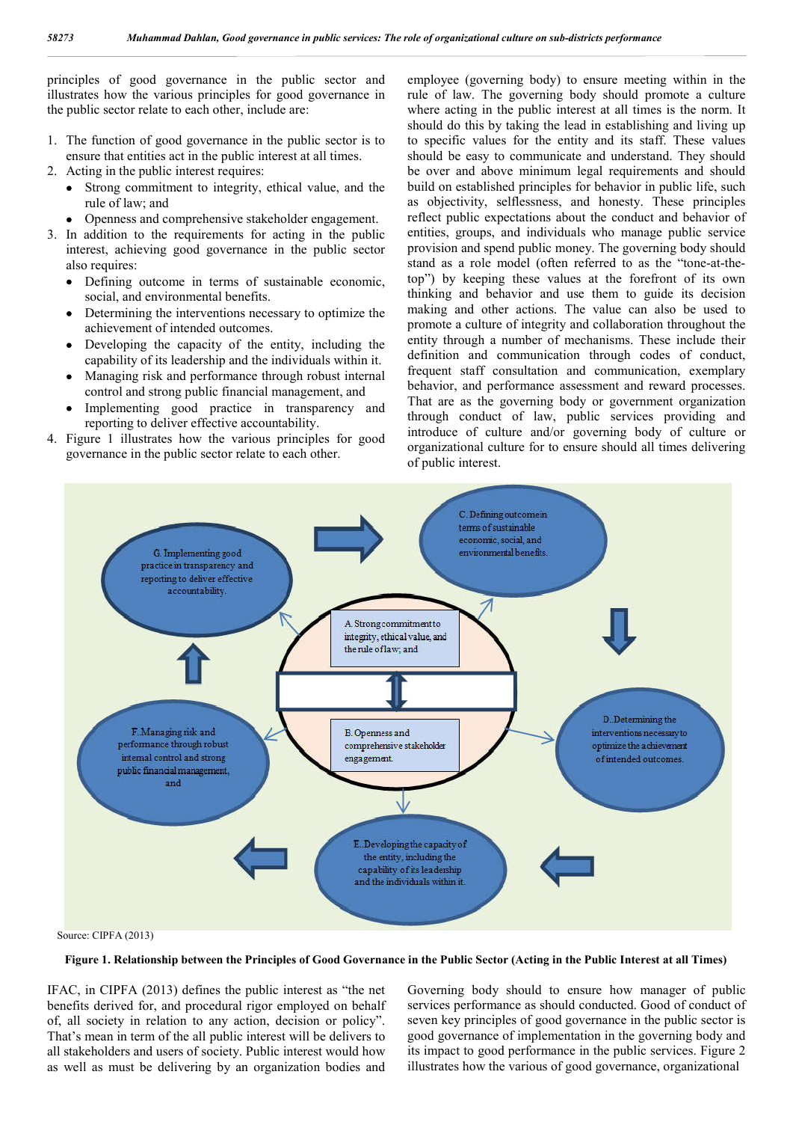principles of good governance in the public sector and illustrates how the various principles for good governance in the public sector relate to each other, include are:

- 1. The function of good governance in the public sector is to ensure that entities act in the public interest at all times.
- 2. Acting in the public interest requires:
	- Strong commitment to integrity, ethical value, and the rule of law; and
	- Openness and comprehensive stakeholder engagement.
- 3. In addition to the requirements for acting in the public interest, achieving good governance in the public sector also requires:
	- Defining outcome in terms of sustainable economic, social, and environmental benefits.
	- Determining the interventions necessary to optimize the achievement of intended outcomes.
	- Developing the capacity of the entity, including the capability of its leadership and the individuals within it.
	- Managing risk and performance through robust internal control and strong public financial management, and
	- Implementing good practice in transparency and reporting to deliver effective accountability.
- 4. Figure 1 illustrates how the various principles for good governance in the public sector relate to each other.

employee (governing body) to ensure meeting within in the rule of law. The governing body should promote a culture where acting in the public interest at all times is the norm. It should do this by taking the lead in establishing and living up to specific values for the entity and its staff. These values should be easy to communicate and understand. They should be over and above minimum legal requirements and should build on established principles for behavior in public life, such as objectivity, selflessness, and honesty. These principles reflect public expectations about the conduct and behavior of entities, groups, and individuals who manage public service provision and spend public money. The governing body should stand as a role model (often referred to as the "tone-at-thetop") by keeping these values at the forefront of its own thinking and behavior and use them to guide its decision making and other actions. The value can also be used to promote a culture of integrity and collaboration throughout the entity through a number of mechanisms. These include their definition and communication through codes of conduct, frequent staff consultation and communication, exemplary behavior, and performance assessment and reward processes. That are as the governing body or government organization through conduct of law, public services providing and introduce of culture and/or governing body of culture or organizational culture for to ensure should all times delivering of public interest.



**Figure 1. Relationship between the Principles of Good Governance in the Public Sector (Acting in the Public Interest at all Times)**

IFAC, in CIPFA (2013) defines the public interest as "the net benefits derived for, and procedural rigor employed on behalf of, all society in relation to any action, decision or policy". That's mean in term of the all public interest will be delivers to all stakeholders and users of society. Public interest would how as well as must be delivering by an organization bodies and Governing body should to ensure how manager of public services performance as should conducted. Good of conduct of seven key principles of good governance in the public sector is good governance of implementation in the governing body and its impact to good performance in the public services. Figure 2 illustrates how the various of good governance, organizational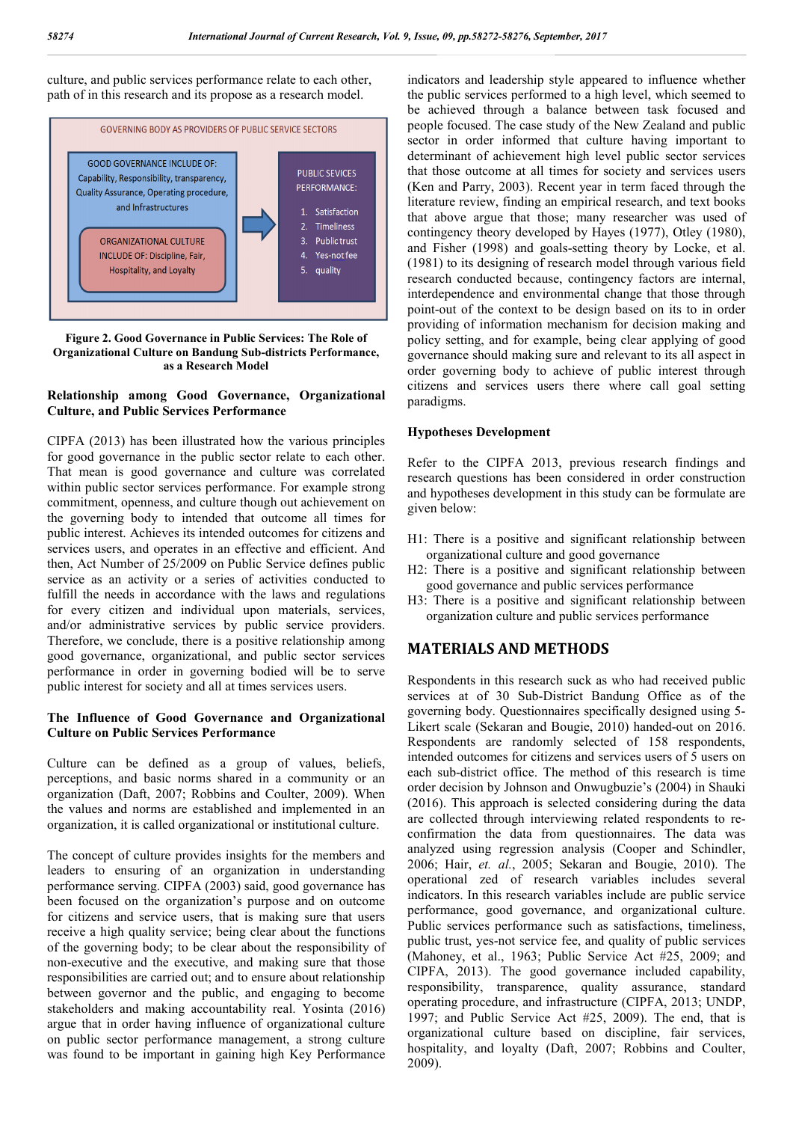culture, and public services performance relate to each other, path of in this research and its propose as a research model.



**Figure 2. Good Governance in Public Services: The Role of Organizational Culture on Bandung Sub-districts Performance, as a Research Model**

## **Relationship among Good Governance, Organizational Culture, and Public Services Performance**

CIPFA (2013) has been illustrated how the various principles for good governance in the public sector relate to each other. That mean is good governance and culture was correlated within public sector services performance. For example strong commitment, openness, and culture though out achievement on the governing body to intended that outcome all times for public interest. Achieves its intended outcomes for citizens and services users, and operates in an effective and efficient. And then, Act Number of 25/2009 on Public Service defines public service as an activity or a series of activities conducted to fulfill the needs in accordance with the laws and regulations for every citizen and individual upon materials, services, and/or administrative services by public service providers. Therefore, we conclude, there is a positive relationship among good governance, organizational, and public sector services performance in order in governing bodied will be to serve public interest for society and all at times services users.

## **The Influence of Good Governance and Organizational Culture on Public Services Performance**

Culture can be defined as a group of values, beliefs, perceptions, and basic norms shared in a community or an organization (Daft, 2007; Robbins and Coulter, 2009). When the values and norms are established and implemented in an organization, it is called organizational or institutional culture.

The concept of culture provides insights for the members and leaders to ensuring of an organization in understanding performance serving. CIPFA (2003) said, good governance has been focused on the organization's purpose and on outcome for citizens and service users, that is making sure that users receive a high quality service; being clear about the functions of the governing body; to be clear about the responsibility of non-executive and the executive, and making sure that those responsibilities are carried out; and to ensure about relationship between governor and the public, and engaging to become stakeholders and making accountability real. Yosinta (2016) argue that in order having influence of organizational culture on public sector performance management, a strong culture was found to be important in gaining high Key Performance

indicators and leadership style appeared to influence whether the public services performed to a high level, which seemed to be achieved through a balance between task focused and people focused. The case study of the New Zealand and public sector in order informed that culture having important to determinant of achievement high level public sector services that those outcome at all times for society and services users (Ken and Parry, 2003). Recent year in term faced through the literature review, finding an empirical research, and text books that above argue that those; many researcher was used of contingency theory developed by Hayes (1977), Otley (1980), and Fisher (1998) and goals-setting theory by Locke, et al. (1981) to its designing of research model through various field research conducted because, contingency factors are internal, interdependence and environmental change that those through point-out of the context to be design based on its to in order providing of information mechanism for decision making and policy setting, and for example, being clear applying of good governance should making sure and relevant to its all aspect in order governing body to achieve of public interest through citizens and services users there where call goal setting paradigms.

## **Hypotheses Development**

Refer to the CIPFA 2013, previous research findings and research questions has been considered in order construction and hypotheses development in this study can be formulate are given below:

- H1: There is a positive and significant relationship between organizational culture and good governance
- H2: There is a positive and significant relationship between good governance and public services performance
- H3: There is a positive and significant relationship between organization culture and public services performance

## **MATERIALS AND METHODS**

Respondents in this research suck as who had received public services at of 30 Sub-District Bandung Office as of the governing body. Questionnaires specifically designed using 5- Likert scale (Sekaran and Bougie, 2010) handed-out on 2016. Respondents are randomly selected of 158 respondents, intended outcomes for citizens and services users of 5 users on each sub-district office. The method of this research is time order decision by Johnson and Onwugbuzie's (2004) in Shauki (2016). This approach is selected considering during the data are collected through interviewing related respondents to reconfirmation the data from questionnaires. The data was analyzed using regression analysis (Cooper and Schindler, 2006; Hair, *et. al.*, 2005; Sekaran and Bougie, 2010). The operational zed of research variables includes several indicators. In this research variables include are public service performance, good governance, and organizational culture. Public services performance such as satisfactions, timeliness, public trust, yes-not service fee, and quality of public services (Mahoney, et al., 1963; Public Service Act #25, 2009; and CIPFA, 2013). The good governance included capability, responsibility, transparence, quality assurance, standard operating procedure, and infrastructure (CIPFA, 2013; UNDP, 1997; and Public Service Act #25, 2009). The end, that is organizational culture based on discipline, fair services, hospitality, and loyalty (Daft, 2007; Robbins and Coulter, 2009).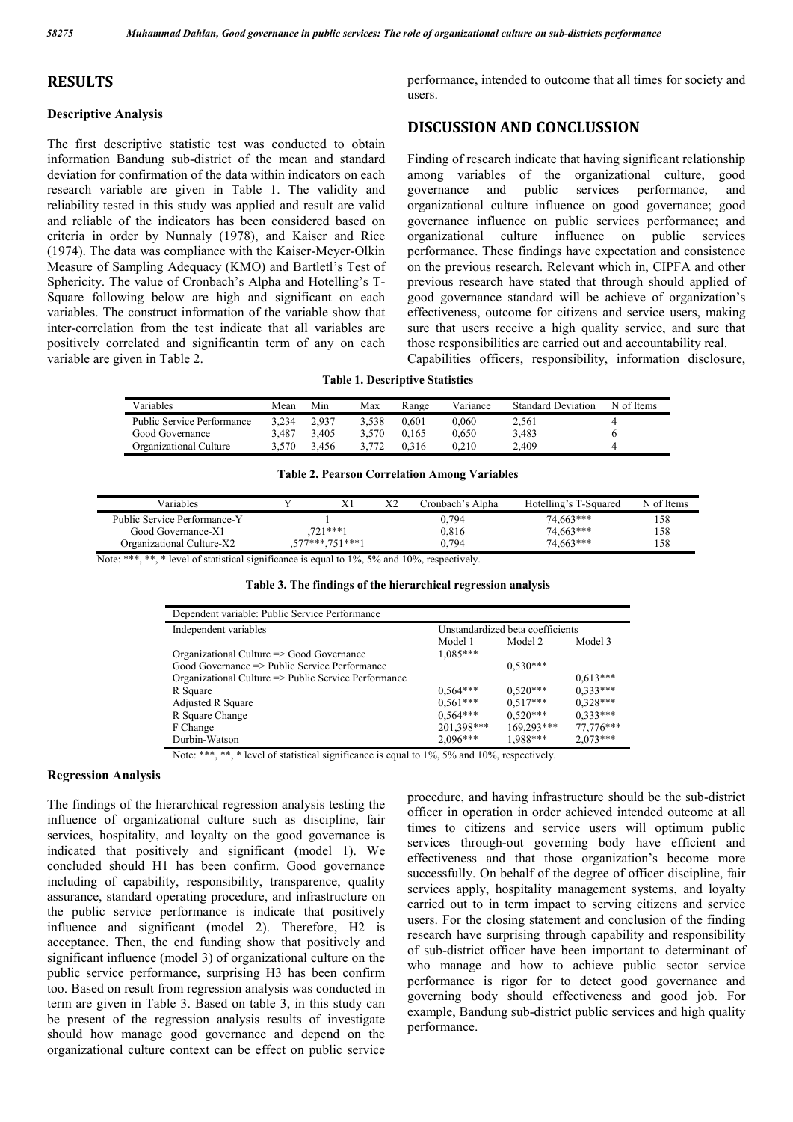## **RESULTS**

## **Descriptive Analysis**

The first descriptive statistic test was conducted to obtain information Bandung sub-district of the mean and standard deviation for confirmation of the data within indicators on each research variable are given in Table 1. The validity and reliability tested in this study was applied and result are valid and reliable of the indicators has been considered based on criteria in order by Nunnaly (1978), and Kaiser and Rice (1974). The data was compliance with the Kaiser-Meyer-Olkin Measure of Sampling Adequacy (KMO) and Bartletl's Test of Sphericity. The value of Cronbach's Alpha and Hotelling's T-Square following below are high and significant on each variables. The construct information of the variable show that inter-correlation from the test indicate that all variables are positively correlated and significantin term of any on each variable are given in Table 2.

performance, intended to outcome that all times for society and users.

## **DISCUSSION AND CONCLUSSION**

Finding of research indicate that having significant relationship among variables of the organizational culture, good governance and public services performance, and organizational culture influence on good governance; good governance influence on public services performance; and organizational culture influence on public services performance. These findings have expectation and consistence on the previous research. Relevant which in, CIPFA and other previous research have stated that through should applied of good governance standard will be achieve of organization's effectiveness, outcome for citizens and service users, making sure that users receive a high quality service, and sure that those responsibilities are carried out and accountability real.

## Capabilities officers, responsibility, information disclosure,

# **Table 1. Descriptive Statistics**

| Variables                  | Mean  | Min   | Max     | Range | Variance | <b>Standard Deviation</b> | N of Items |
|----------------------------|-------|-------|---------|-------|----------|---------------------------|------------|
| Public Service Performance | 3.234 | 2.937 | 3.538   | 0.601 | 0.060    | 2.561                     |            |
| Good Governance            | 3.487 | 3.405 | 3.570   | 0.165 | 0.650    | 3.483                     |            |
| Organizational Culture     | 3.570 | 3.456 | 3 7 7 2 | 0.316 | 0.210    | 2.409                     |            |

#### **Table 2. Pearson Correlation Among Variables**

| Variables                                                                                                       |           | ΔI           | $\Delta$ | Cronbach's Alpha                       | Hotelling's T-Squared | N of Items |
|-----------------------------------------------------------------------------------------------------------------|-----------|--------------|----------|----------------------------------------|-----------------------|------------|
| Public Service Performance-Y                                                                                    |           |              |          | J.794                                  | 74.663***             | 158        |
| Good Governance-X1                                                                                              | 721 *** 1 |              |          | 0.816                                  | 74.663***             | 158        |
| Organizational Culture-X2                                                                                       |           | 7*** 751***1 |          | ).794                                  | 74.663***             | 158        |
| the contract of the contract of the contract of the contract of the contract of the contract of the contract of |           |              |          | the control of the control of the con- |                       |            |

Note: \*\*\*, \*\*, \* level of statistical significance is equal to 1%, 5% and 10%, respectively.

| Table 3. The findings of the hierarchical regression analysis |  |  |  |  |  |  |  |  |  |  |  |  |  |
|---------------------------------------------------------------|--|--|--|--|--|--|--|--|--|--|--|--|--|
|---------------------------------------------------------------|--|--|--|--|--|--|--|--|--|--|--|--|--|

| Dependent variable: Public Service Performance        |            |                                  |            |
|-------------------------------------------------------|------------|----------------------------------|------------|
| Independent variables                                 |            | Unstandardized beta coefficients |            |
|                                                       | Model 1    | Model 2                          | Model 3    |
| Organizational Culture => Good Governance             | $1,085***$ |                                  |            |
| $Good Governance \implies Public Service Performance$ |            | $0.530***$                       |            |
| Organizational Culture => Public Service Performance  |            |                                  | $0.613***$ |
| R Square                                              | $0,564***$ | $0.520***$                       | $0.333***$ |
| Adjusted R Square                                     | $0,561***$ | $0.517***$                       | $0.328***$ |
| R Square Change                                       | $0.564***$ | $0.520***$                       | $0.333***$ |
| F Change                                              | 201,398*** | 169,293***                       | 77,776***  |
| Durbin-Watson                                         | $2,096***$ | 1.988***                         | $2,073***$ |

Note: \*\*\*, \*\*, \* level of statistical significance is equal to 1%, 5% and 10%, respectively.

#### **Regression Analysis**

The findings of the hierarchical regression analysis testing the influence of organizational culture such as discipline, fair services, hospitality, and loyalty on the good governance is indicated that positively and significant (model 1). We concluded should H1 has been confirm. Good governance including of capability, responsibility, transparence, quality assurance, standard operating procedure, and infrastructure on the public service performance is indicate that positively influence and significant (model 2). Therefore, H2 is acceptance. Then, the end funding show that positively and significant influence (model 3) of organizational culture on the public service performance, surprising H3 has been confirm too. Based on result from regression analysis was conducted in term are given in Table 3. Based on table 3, in this study can be present of the regression analysis results of investigate should how manage good governance and depend on the organizational culture context can be effect on public service

procedure, and having infrastructure should be the sub-district officer in operation in order achieved intended outcome at all times to citizens and service users will optimum public services through-out governing body have efficient and effectiveness and that those organization's become more successfully. On behalf of the degree of officer discipline, fair services apply, hospitality management systems, and loyalty carried out to in term impact to serving citizens and service users. For the closing statement and conclusion of the finding research have surprising through capability and responsibility of sub-district officer have been important to determinant of who manage and how to achieve public sector service performance is rigor for to detect good governance and governing body should effectiveness and good job. For example, Bandung sub-district public services and high quality performance.